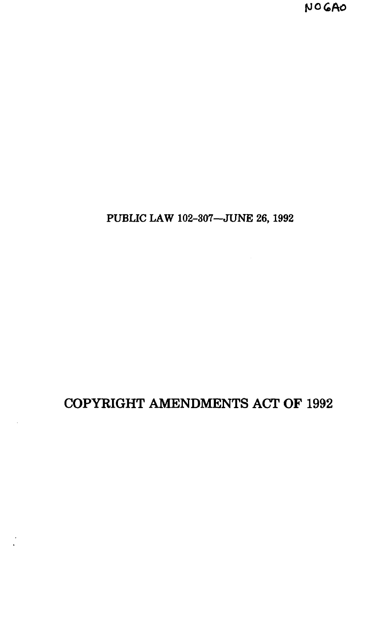# COPYRIGHT AMENDMENTS ACT OF 1992

PUBLIC LAW 102-307—JUNE 26,1992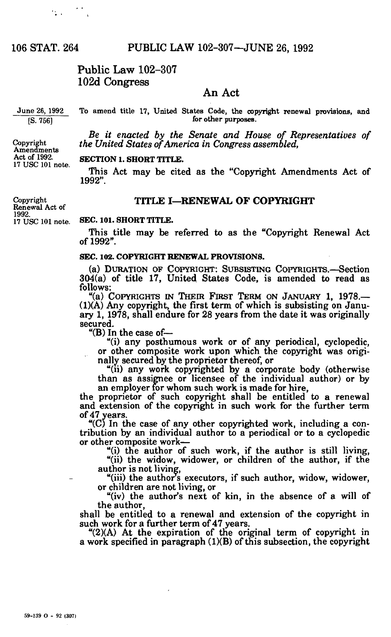$\mathcal{L}_{\text{max}} = \mathcal{L}_{\text{max}}$ 

# Public Law 102-307 102d Congress

# An Act

June 26, 1992 [S. 756]

Copyright Amendments Act of 1992. 17 USC 101 note.

To amend title 17, United States Code, the copyright renewal provisions, and for other purposes.

*Be it enacted by the Senate and House of Representatives of the United States of America in Congress assembled,* 

#### **SECTION 1. SHORT TITLE.**

This Act may be cited as the "Copyright Amendments Act of 1992".

# TITLE I—RENEWAL OF COPYRIGHT

Copyright Renewal Act of 1992. 17 USC 101 note.

#### **SEC. 101. SHORT TITLE.**

This title may be referred to as the "Copyright Renewal Act of 1992".

### **SEC. 102. COPYRIGHT RENEWAL PROVISIONS.**

(a) DURATION OF COPYRIGHT: SUBSISTING COPYRIGHTS.—Section 304(a) of title 17, United States Code, is amended to read as follows:

"(a) COPYRIGHTS IN THEIR FIRST TERM ON JANUARY 1, 1978.— (1)(A) Any copyright, the first term of which is subsisting on January 1, 1978, shall endure for 28 years from the date it was originally secured.

"(B) In the case of—

"(i) any posthumous work or of any periodical, cyclopedic, or other composite work upon which the copyright was originally secured by the proprietor thereof, or

"(ii) any work copyrighted by a corporate body (otherwise than as assignee or licensee of the individual author) or by an employer for whom such work is made for hire,

the proprietor of such copyright shall be entitled to a renewal and extension of the copyright in such work for the further term of 47 years.

" $(C)$  In the case of any other copyrighted work, including a contribution by an individual author to a periodical or to a cyclopedic or other composite work—

"(i) the author of such work, if the author is still living,

"(ii) the widow, widower, or children of the author, if the author is not living,

"(iii) the author's executors, if such author, widow, widower, or children are not living, or

"(iv) the author's next of kin, in the absence of a will of the author,

shall be entitled to a renewal and extension of the copyright in such work for a further term of 47 years.

"(2)(A) At the expiration of the original term of copyright in a work specified in paragraph (1)(B) of this subsection, the copyright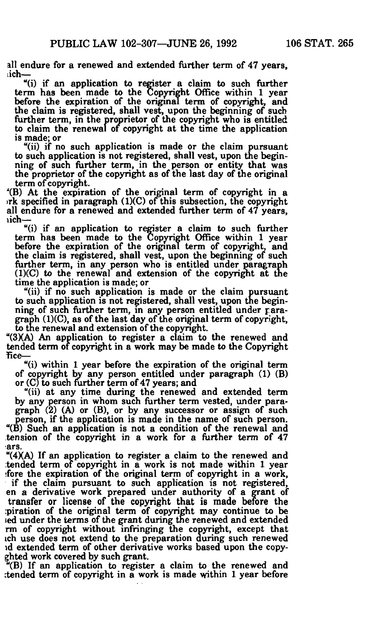all endure for a renewed and extended further term of 47 years, ich—

"(i) if an application to register a claim to such further term has been made to the Copyright Office within 1 year before the expiration of the original term of copyright, and the claim is registered, shall vest, upon the beginning of such further term, in the proprietor of the copyright who is entitled to claim the renewal of copyright at the time the application is made; or

"(ii) if no such application is made or the claim pursuant to such application is not registered, shall vest, upon the beginning of such further term, in the person or entity that was the proprietor of the copyright as of the last day of the original term of copyright.

'(B) At the expiration of the original term of copyright in a irk specified in paragraph (1)(C) of this subsection, the copyright all endure for a renewed and extended further term of 47 years, rich—

"(i) if an application to register a claim to such further term has been made to the Copyright Office within 1 year before the expiration of the original term of copyright, and the claim is registered, shall vest, upon the beginning of such further term, in any person who is entitled under paragraph  $(1)(C)$  to the renewal and extension of the copyright at the time the application is made; or

"(ii) if no such application is made or the claim pursuant to such application is not registered, shall vest, upon the beginning of such further term, in any person entitled under paragraph (1)(C), as of the last day of the original term of copyright, to the renewal and extension of the copyright.

"(3XA) An application to register a claim to the renewed and tended term of copyright in a work may be made to the Copyright fice-

"(i) within 1 year before the expiration of the original term of copyright by any person entitled under paragraph (1) (B) or (C) to such further term of 47 years; and

"(ii) at any time during the renewed and extended term by any person in whom such further term vested, under paragraph (2) (A) or (B), or by any successor or assign of such person, if the application is made in the name of such person. "(B) Such an application is not a condition of the renewal and tension of the copyright in a work for a further term of 47 ars.

" $(4)$ (A) If an application to register a claim to the renewed and tended term of copyright in a work is not made within 1 year ;fore the expiration of the original term of copyright in a work, if the claim pursuant to such application is not registered, en a derivative work prepared under authority of a grant of transfer or license of the copyright that is made before the piration of the original term of copyright may continue to be sed under the terms of the grant during the renewed and extended rm of copyright without infringing the copyright, except that ich use does not extend to the preparation during such renewed id extended term of other derivative works based upon the copyghted work covered by such grant.

 $E(B)$  If an application to register a claim to the renewed and :tended term of copyright in a work is made within 1 year before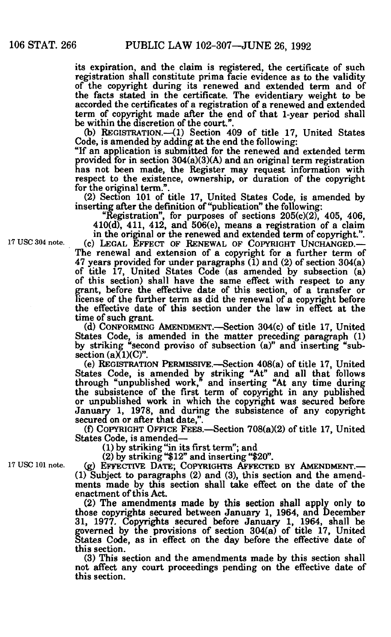its expiration, and the claim is registered, the certificate of such registration shall constitute prima facie evidence as to the validity of the copyright during its renewed and extended term and of the facts stated in the certificate. The evidentiary weight to be accorded the certificates of a registration of a renewed and extended term of copyright made after the end of that 1-year period shall be within the discretion of the court.".

(b) REGISTRATION.—(1) Section 409 of title 17, United States Code, is amended by adding at the end the following:

"If an application is submitted for the renewed and extended term provided for in section 304(a)(3)(A) and an original term registration has not been made, the Register may request information with respect to the existence, ownership, or duration of the copyright for the original term."

(2) Section 101 of title 17, United States Code, is amended by inserting after the definition of "publication" the following:

"Registration", for purposes of sections  $205(c)(2)$ , 405, 406,  $410(d)$ ,  $411$ ,  $412$ , and  $506(e)$ , means a registration of a claim

in the original or the renewed and extended term of copyright.". **17 USC 304 note. (c) LEGAL EFFECT OF RENEWAL OF COPYRIGHT UNCHANGED.—**  The renewal and extension of a copyright for a further term of 47 years provided for under paragraphs (1) and (2) of section 304(a) of title 17, United States Code (as amended by subsection (a) of this section) shall have the same effect with respect to any grant, before the effective date of this section, of a transfer or license of the further term as did the renewal of a copyright before the effective date of this section under the law in effect at the time of such grant.

(d) CONFORMING AMENDMENT.—Section 304(c) of title 17, United States Code, is amended in the matter preceding paragraph (1) by striking "second proviso of subsection (a)" and inserting "subsection  $(a)(1)(C)$ ".

(e) REGISTRATION PERMISSIVE.—Section 408(a) of title 17, United States Code, is amended by striking "At" and all that follows through "unpublished work," and inserting "At any time during the subsistence of the first term of copyright in any published or unpublished work in which the copyright was secured before January 1, 1978, and during the subsistence of any copyright secured on or after that date,".

(f) COPYRIGHT OFFICE FEES.—Section 708(a)(2) of title 17, United States Code, is amended—

(1) by striking "in its first term"; and

(2) by striking "\$12" and inserting "\$20".

**17 USC 101 note. (g) EFFECTIVE DATE; COPYRIGHTS AFFECTED BY AMENDMENT.—**  (1) Subject to paragraphs (2) and (3), this section and the amendments made by this section shall take effect on the date of the enactment of this Act.

(2) The amendments made by this section shall apply only to those copyrights secured between January 1, 1964, and December 31, 1977. Copyrights secured before January 1, 1964, shall be governed by the provisions of section 304(a) of title 17, United States Code, as in effect on the day before the effective date of this section.

(3) This section and the amendments made by this section shall not affect any court proceedings pending on the effective date of this section.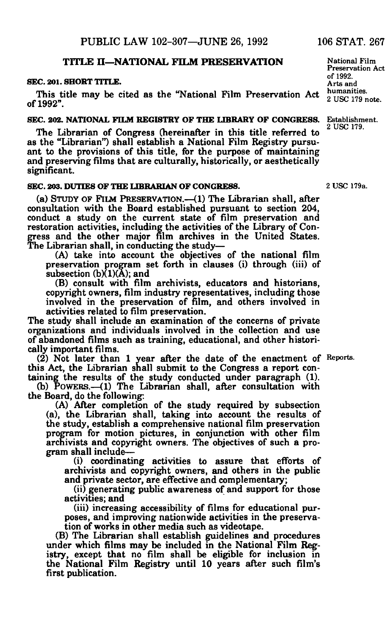# **TITLE H—NATIONAL FILM PRESERVATION**

### **SEC. 201. SHORT TITLE.**

This title may be cited as the "National Film Preservation Act of 1992".

#### **SEC. 202. NATIONAL FILM REGISTRY OF THE LIBRARY OF CONGRESS.**

The Librarian of Congress (hereinafter in this title referred to as the "Librarian") shall establish a National Film Registry pursuant to the provisions of this title, for the purpose of maintaining and preserving films that are culturally, historically, or aesthetically significant.

# **SEC. 203. DUTIES OF THE LIBRARIAN OF CONGRESS.**

(a) STUDY OF FILM PRESERVATION.—(1) The Librarian shall, after consultation with the Board established pursuant to section 204, conduct a study on the current state of film preservation and restoration activities, including the activities of the Library of Congress and the other major film archives in the United States. The Librarian shall, in conducting the study—

(A) take into account the objectives of the national film preservation program set forth in clauses (i) through (iii) of subsection  $(b)(1)(A)$ ; and

(B) consult with film archivists, educators and historians, copyright owners, film industry representatives, including those involved in the preservation of film, and others involved in activities related to film preservation.

The study shall include an examination of the concerns of private organizations and individuals involved in the collection and use of abandoned films such as training, educational, and other historically important films.

(2) Not later than 1 year after the date of the enactment of Reports. this Act, the Librarian shall submit to the Congress a report containing the results of the study conducted under paragraph (1).

(b) POWERS.—(1) The Librarian shall, after consultation with the Board, do the following:

(A) After completion of the study required by subsection (a), the Librarian shall, taking into account the results of the study, establish a comprehensive national film preservation program for motion pictures, in conjunction with other film archivists and copyright owners. The objectives of such a program shall include—

(i) coordinating activities to assure that efforts of archivists and copyright owners, and others in the public and private sector, are effective and complementary;

(ii) generating public awareness of and support for those activities; and

(iii) increasing accessibility of films for educational purposes, and improving nationwide activities in the preservation of works in other media such as videotape.

(B) The Librarian shall establish guidelines and procedures under which films may be included in the National Film Registry, except that no film shall be eligible for inclusion in the National Film Registry until 10 years after such film's first publication.

National Film Preservation Act of 1992. Arts and humanities. 2 USC 179 note.

Establishment. 2 USC 179.

2 USC 179a.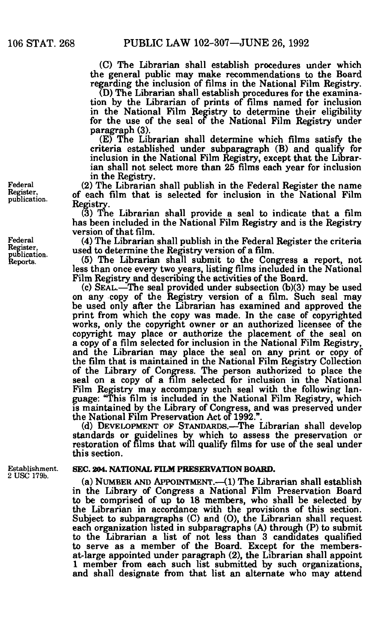(C) The Librarian shall establish procedures under which the general public may make recommendations to the Board regarding the inclusion of films in the National Film Registry.

(D) The Librarian shall establish procedures for the examination by the Librarian of prints of films named for inclusion in the National Film Registry to determine their eligibility for the use of the seal of the National Film Registry under paragraph (3).

(E) The Librarian shall determine which films satisfy the criteria established under subparagraph (B) and qualify for inclusion in the National Film Registry, except that the Librarian shall not select more than 25 films each year for inclusion in the Registry.

(2) The Librarian shall publish in the Federal Register the name of each film that is selected for inclusion in the National Film Registry.

(3) The Librarian shall provide a seal to indicate that a film has been included in the National Film Registry and is the Registry version of that film.

(4) The Librarian shall publish in the Federal Register the criteria used to determine the Registry version of a film.

(5) The Librarian shall submit to the Congress a report, not less than once every two years, listing films included in the National Film Registry and describing the activities of the Board.

 $(c)$  SEAL.—The seal provided under subsection  $(b)(3)$  may be used on any copy of the Registry version of a film. Such seal may be used only after the Librarian has examined and approved the print from which the copy was made. In the case of copyrighted works, only the copyright owner or an authorized licensee of the copyright may place or authorize the placement of the seal on a copy of a film selected for inclusion in the National Film Registry, and the Librarian may place the seal on any print or copy of the film that is maintained in the National Film Registry Collection of the Library of Congress. The person authorized to place the seal on a copy of a film selected for inclusion in the National Film Registry may accompany such seal with the following language: "This film is included in the National Film Registry, which is maintained by the Library of Congress, and was preserved under the National Film Preservation Act of 1992.".

(d) DEVELOPMENT OF STANDARDS.—The Librarian shall develop standards or guidelines by which to assess the preservation or restoration of films that will qualify films for use of the seal under this section.

Establishment. 2 USC 179b.

# **SEC. 204. NATIONAL FILM PRESERVATION BOARD.**

(a) NUMBER AND APPOINTMENT.—(1) The Librarian shall establish in the Library of Congress a National Film Preservation Board to be comprised of up to 18 members, who shall be selected by the Librarian in accordance with the provisions of this section. Subject to subparagraphs (C) and (0), the Librarian shall request each organization listed in subparagraphs (A) through (P) to submit to the Librarian a list of not less than 3 candidates qualified to serve as a member of the Board. Except for the membersat-large appointed under paragraph (2), the Librarian shall appoint 1 member from each such list submitted by such organizations, and shall designate from that list an alternate who may attend

Federal Register, publication.

Federal Register, publication. Reports.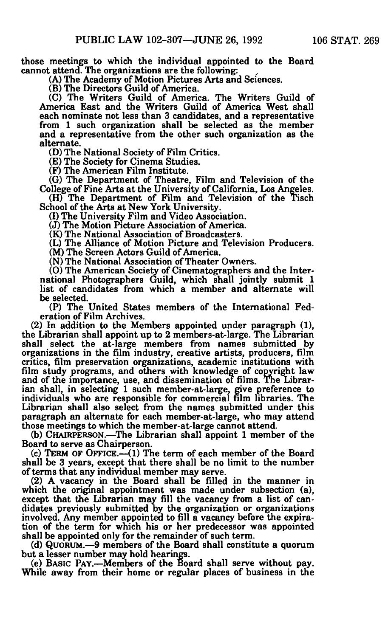**those meetings to which the individual appointed to the Board cannot attend. The organizations are the following:** 

**(A) The Academy of Motion Pictures Arts and Sciences.** 

**(B) The Directors Guild of America.** 

**(C) The Writers Guild of America. The Writers Guild of America East and the Writers Guild of America West shall each nominate not less than 3 candidates, and a representative from 1 such organization shall be selected as the member and a representative from the other such organization as the alternate.** 

**(D) The National Society of Film Critics.** 

**(E) The Society for Cinema Studies.** 

**(F) The American Film Institute.** 

**(G) The Department of Theatre, Film and Television of the College of Fine Arts at the University of California, Los Angeles.** 

**(H) The Department of Film and Television of the Tisch School of the Arts at New York University.** 

**(I) The University Film and Video Association.** 

**(J) The Motion Picture Association of America.** 

**(K) The National Association of Broadcasters.** 

**(L) The Alliance of Motion Picture and Television Producers. (M) The Screen Actors Guild of America.** 

**(N) The National Association of Theater Owners.** 

**(O) The American Society of Cinematographers and the International Photographers Guild, which shall jointly submit 1 list of candidates from which a member and alternate will be selected.** 

**(P) The United States members of the International Federation of Film Archives.** 

**(2) In addition to the Members appointed under paragraph (1), the Librarian shall appoint up to 2 members-at-large. The Librarian shall select the at-large members from names submitted by organizations in the film industry, creative artists, producers, film critics, film preservation organizations, academic institutions with film study programs, and others with knowledge of copyright law and of the importance, use, and dissemination of films. The Librarian shall, in selecting 1 such member-at-large, give preference to individuals who are responsible for commercial film libraries. The Librarian shall also select from the names submitted under this paragraph an alternate for each member-at-large, who may attend those meetings to which the member-at-large cannot attend.** 

**(b) CHAIRPERSON.—The Librarian shall appoint 1 member of the Board to serve as Chairperson.** 

**(c) TERM OF OFFICE.—<1) The term of each member of the Board shall be 3 years, except that there shall be no limit to the number of terms that any individual member may serve.** 

**(2) A vacancy in the Board shall be filled in the manner in which the original appointment was made under subsection (a), except that the Librarian may fill the vacancy from a list of candidates previously submitted by the organization or organizations involved. Any member appointed to fill a vacancy before the expiration of the term for which his or her predecessor was appointed shall be appointed only for the remainder of such term.** 

**(d) QUORUM.—9 members of the Board shall constitute a quorum but a lesser number may hold hearings.** 

**(e) BASIC PAY.—Members of the Board shall serve without pay. While away from their home or regular places of business in the**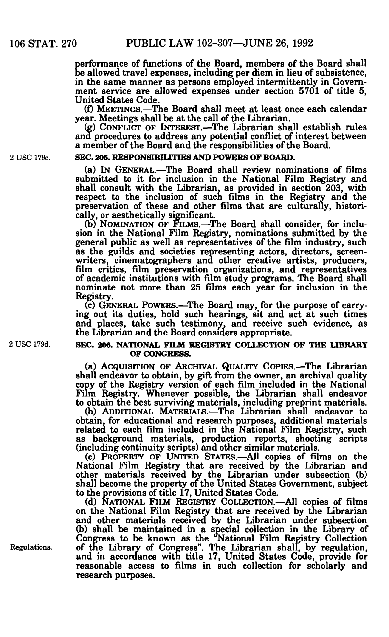be allowed travel expenses, including per diem in lieu of subsistence, erformance of functions of the Board, members of the Board shall in the same manner as persons employed intermittently in Government service are allowed expenses under section 5701 of title 5, United States Code.

(f) MEETINGS.—The Board shall meet at least once each calendar year. Meetings shall be at the call of the Librarian.

(g) CONFLICT OF INTEREST.—The Librarian shall establish rules and procedures to address any potential conflict of interest between a member of the Board and the responsibilities of the Board.

#### **2 USC 179c. SEC. 205. RESPONSIBILITIES AND POWERS OF BOARD.**

(a) IN GENERAL.—The Board shall review nominations of films submitted to it for inclusion in the National Film Registry and shall consult with the Librarian, as provided in section 203, with respect to the inclusion of such films in the Registry and the preservation of these and other films that are culturally, historically, or aesthetically significant.

(b) NOMINATION OF FILMS.—The Board shall consider, for inclusion in the National Film Registry, nominations submitted by the general public as well as representatives of the film industry, such as the guilds and societies representing actors, directors, screenwriters, cinematographers and other creative artists, producers, film critics, film preservation organizations, and representatives of academic institutions with film study programs. The Board shall nominate not more than 25 films each year for inclusion in the Registry.

(c) GENERAL POWERS.—The Board may, for the purpose of carrying out its duties, hold such hearings, sit and act at such times and places, take such testimony, and receive such evidence, as the Librarian and the Board considers appropriate.

#### **2 USC 179d. SEC. 206. NATIONAL FILM REGISTRY COLLECTION OF THE LIBRARY OF CONGRESS.**

(a) ACQUISITION OF ARCHIVAL QUALITY COPIES.—The Librarian shall endeavor to obtain, by gift from the owner, an archival quality copy of the Registry version of each film included in the National Film Registry. Whenever possible, the Librarian shall endeavor to obtain the best surviving materials, including preprint materials.

(b) ADDITIONAL MATERIALS.—The Librarian shall endeavor to obtain, for educational and research purposes, additional materials related to each film included in the National Film Registry, such as background materials, production reports, shooting scripts (including continuity scripts) and other similar materials.

(c) PROPERTY OF UNITED STATES.—All copies of films on the National Film Registry that are received by the Librarian and other materials received by the Librarian under subsection (b) shall become the property of the United States Government, subject to the provisions of title 17, United States Code.

(d) NATIONAL FILM REGISTRY COLLECTION.—All copies of films on the National Film Registry that are received by the Librarian and other materials received by the Librarian under subsection (b) shall be maintained in a special collection in the Library of Congress to be known as the "National Film Registry Collection Regulations. of the Library of Congress". The Librarian shall, by regulation, and in accordance with title 17, United States Code, provide for reasonable access to films in such collection for scholarly and research purposes.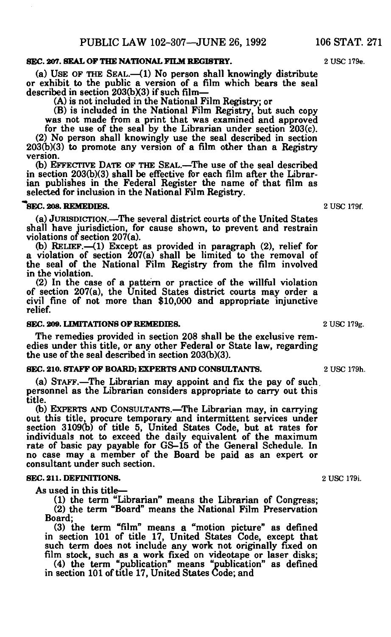# **SEC. 207. SEAL OF THE NATIONAL FILM REGISTRY.** 2 USC 179e.

(a) USE OF THE SEAL.—(1) No person shall knowingly distribute or exhibit to the public a version of a film which bears the seal described in section 203(bX3) if such film—

(A) is not included in the National Film Registry; or

(B) is included in the National Film Registry, but such copy was not made from a print that was examined and approved

for the use of the seal by the Librarian under section 203(c). (2) No person shall knowingly use the seal described in section 203(b)(3) to promote any version of a film other than a Registry version.

(b) EFFECTIVE DATE OF THE SEAL.—The use of the seal described in section 203(b)(3) shall be effective for each film after the Librarian publishes in the Federal Register the name of that film as selected for inclusion in the National Film Registry.

#### **ISEC. 208. REMEDIES.** 2 USC 179f.

(a) JURISDICTION.—The several district courts of the United States shall have jurisdiction, for cause shown, to prevent and restrain violations of section 207(a).

(b) RELIEF.—(1) Except as provided in paragraph (2), relief for a violation of section 207(a) shall be limited to the removal of the seal of the National Film Registry from the film involved in the violation.

(2) In the case of a pattern or practice of the willful violation of section 207(a), the United States district courts may order a civil fine of not more than \$10,000 and appropriate injunctive relief.

#### **SEC. 209. LIMITATIONS OF REMEDIES.** 2 USC 179g.

The remedies provided in section 208 shall be the exclusive remedies under this title, or any other Federal or State law, regarding the use of the seal described in section 203(b)(3).

# **SEC. 210. STAFF OF BOARD; EXPERTS AND CONSULTANTS.** 2 USC 179h.

(a) STAFF.—The Librarian may appoint and fix the pay of such, personnel as the Librarian considers appropriate to carry out this title.

(b) EXPERTS AND CONSULTANTS.—The Librarian may, in carrying out this title, procure temporary and intermittent services under section 3109(b) of title 5, United States Code, but at rates for individuals not to exceed the daily equivalent of the maximum rate of basic pay payable for GS-15 of the General Schedule. In no case may a member of the Board be paid as an expert or consultant under such section.

# **SEC. 211. DEFINITIONS.** 2 USC 179i.

As used in this title—

(1) the term "Librarian" means the Librarian of Congress; (2) the term "Board" means the National Film Preservation Board;

(3) the term "film" means a "motion picture" as defined in section 101 of title 17, United States Code, except that such term does not include any work not originally fixed on film stock, such as a work fixed on videotape or laser disks;

(4) the term "publication" means "publication" as defined in section 101 of title 17, United States Code; and